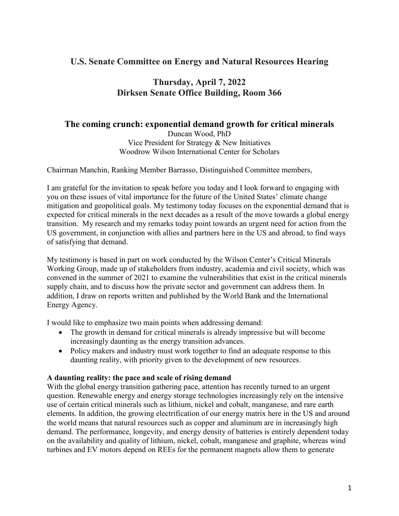## **U.S. Senate Committee on Energy and Natural Resources Hearing**

# **Thursday, April 7, 2022 Dirksen Senate Office Building, Room 366**

### **The coming crunch: exponential demand growth for critical minerals**

Duncan Wood, PhD Vice President for Strategy & New Initiatives Woodrow Wilson International Center for Scholars

Chairman Manchin, Ranking Member Barrasso, Distinguished Committee members,

I am grateful for the invitation to speak before you today and I look forward to engaging with you on these issues of vital importance for the future of the United States' climate change mitigation and geopolitical goals. My testimony today focuses on the exponential demand that is expected for critical minerals in the next decades as a result of the move towards a global energy transition. My research and my remarks today point towards an urgent need for action from the US government, in conjunction with allies and partners here in the US and abroad, to find ways of satisfying that demand.

My testimony is based in part on work conducted by the Wilson Center's Critical Minerals Working Group, made up of stakeholders from industry, academia and civil society, which was convened in the summer of 2021 to examine the vulnerabilities that exist in the critical minerals supply chain, and to discuss how the private sector and government can address them. In addition, I draw on reports written and published by the World Bank and the International Energy Agency.

I would like to emphasize two main points when addressing demand:

- The growth in demand for critical minerals is already impressive but will become increasingly daunting as the energy transition advances.
- Policy makers and industry must work together to find an adequate response to this daunting reality, with priority given to the development of new resources.

### **A daunting reality: the pace and scale of rising demand**

With the global energy transition gathering pace, attention has recently turned to an urgent question. Renewable energy and energy storage technologies increasingly rely on the intensive use of certain critical minerals such as lithium, nickel and cobalt, manganese, and rare earth elements. In addition, the growing electrification of our energy matrix here in the US and around the world means that natural resources such as copper and aluminum are in increasingly high demand. The performance, longevity, and energy density of batteries is entirely dependent today on the availability and quality of lithium, nickel, cobalt, manganese and graphite, whereas wind turbines and EV motors depend on REEs for the permanent magnets allow them to generate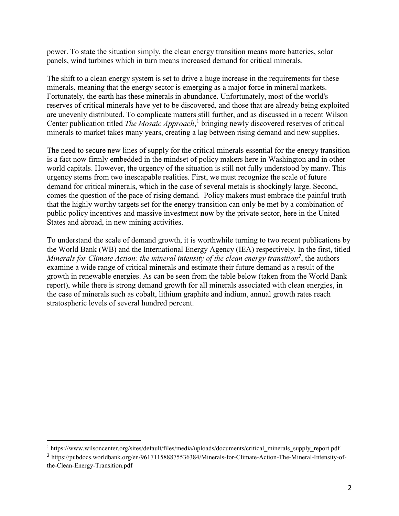power. To state the situation simply, the clean energy transition means more batteries, solar panels, wind turbines which in turn means increased demand for critical minerals.

The shift to a clean energy system is set to drive a huge increase in the requirements for these minerals, meaning that the energy sector is emerging as a major force in mineral markets. Fortunately, the earth has these minerals in abundance. Unfortunately, most of the world's reserves of critical minerals have yet to be discovered, and those that are already being exploited are unevenly distributed. To complicate matters still further, and as discussed in a recent Wilson Center publication titled *The Mosaic Approach*, [1](#page-1-0) bringing newly discovered reserves of critical minerals to market takes many years, creating a lag between rising demand and new supplies.

The need to secure new lines of supply for the critical minerals essential for the energy transition is a fact now firmly embedded in the mindset of policy makers here in Washington and in other world capitals. However, the urgency of the situation is still not fully understood by many. This urgency stems from two inescapable realities. First, we must recognize the scale of future demand for critical minerals, which in the case of several metals is shockingly large. Second, comes the question of the pace of rising demand. Policy makers must embrace the painful truth that the highly worthy targets set for the energy transition can only be met by a combination of public policy incentives and massive investment **now** by the private sector, here in the United States and abroad, in new mining activities.

To understand the scale of demand growth, it is worthwhile turning to two recent publications by the World Bank (WB) and the International Energy Agency (IEA) respectively. In the first, titled Minerals for Climate Action: the mineral intensity of the clean energy transition<sup>[2](#page-1-1)</sup>, the authors examine a wide range of critical minerals and estimate their future demand as a result of the growth in renewable energies. As can be seen from the table below (taken from the World Bank report), while there is strong demand growth for all minerals associated with clean energies, in the case of minerals such as cobalt, lithium graphite and indium, annual growth rates reach stratospheric levels of several hundred percent.

 $\overline{a}$ 

<span id="page-1-0"></span><sup>&</sup>lt;sup>1</sup> https://www.wilsoncenter.org/sites/default/files/media/uploads/documents/critical\_minerals\_supply\_report.pdf

<span id="page-1-1"></span><sup>2</sup> https://pubdocs.worldbank.org/en/961711588875536384/Minerals-for-Climate-Action-The-Mineral-Intensity-ofthe-Clean-Energy-Transition.pdf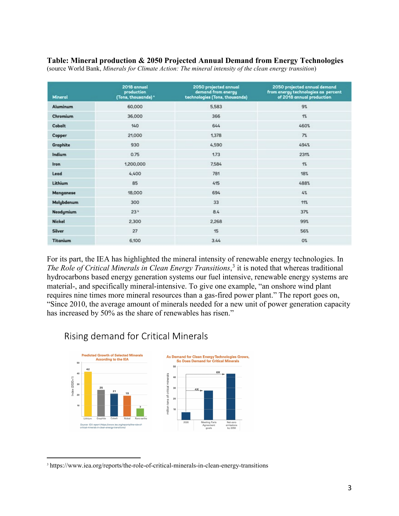#### **Table: Mineral production & 2050 Projected Annual Demand from Energy Technologies**

| <b>Mineral</b>  | 2018 annual<br>production<br>(Tons, thousands) * | 2050 projected annual<br>demand from energy<br>technologies (Tons, thousands) | 2050 projected annual demand<br>from energy technologies as percent<br>of 2018 annual production |
|-----------------|--------------------------------------------------|-------------------------------------------------------------------------------|--------------------------------------------------------------------------------------------------|
| Aluminum        | 60,000                                           | 5,583                                                                         | 9%                                                                                               |
| Chromium        | 36,000                                           | 366                                                                           | 1%                                                                                               |
| Cobalt          | 140                                              | 644                                                                           | 460%                                                                                             |
| Copper          | 21,000                                           | 1,378                                                                         | 7%                                                                                               |
| Graphite        | 930                                              | 4,590                                                                         | 494%                                                                                             |
| Indium          | 0.75                                             | 1.73                                                                          | 231%                                                                                             |
| <b>Iron</b>     | 1,200,000                                        | 7.584                                                                         | 1%                                                                                               |
| Lead            | 4,400                                            | 781                                                                           | 18%                                                                                              |
| Lithium         | 85                                               | 415                                                                           | 488%                                                                                             |
| Manganese       | 18,000                                           | 694                                                                           | 4%                                                                                               |
| Molybdenum      | 300                                              | 33                                                                            | 11%                                                                                              |
| Neodymium       | 23 <sup>b</sup>                                  | 8.4                                                                           | 37%                                                                                              |
| <b>Nickel</b>   | 2,300                                            | 2,268                                                                         | 99%                                                                                              |
| Silver          | 27                                               | 15                                                                            | 56%                                                                                              |
| <b>Titanium</b> | 6,100                                            | 3.44                                                                          | O%                                                                                               |

(source World Bank, *Minerals for Climate Action: The mineral intensity of the clean energy transition*)

For its part, the IEA has highlighted the mineral intensity of renewable energy technologies. In *The Role of Critical Minerals in Clean Energy Transitions*, [3](#page-2-0) it is noted that whereas traditional hydrocarbons based energy generation systems our fuel intensive, renewable energy systems are material-, and specifically mineral-intensive. To give one example, "an onshore wind plant requires nine times more mineral resources than a gas-fired power plant." The report goes on, "Since 2010, the average amount of minerals needed for a new unit of power generation capacity has increased by 50% as the share of renewables has risen."

# Rising demand for Critical Minerals



 $\overline{a}$ 

<span id="page-2-0"></span><sup>&</sup>lt;sup>3</sup> <https://www.iea.org/reports/the-role-of-critical-minerals-in-clean-energy-transitions>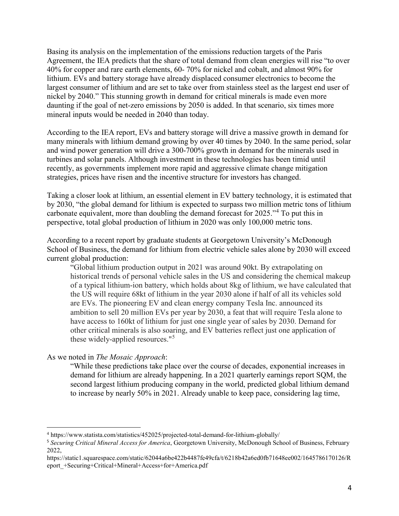Basing its analysis on the implementation of the emissions reduction targets of the Paris Agreement, the IEA predicts that the share of total demand from clean energies will rise "to over 40% for copper and rare earth elements, 60- 70% for nickel and cobalt, and almost 90% for lithium. EVs and battery storage have already displaced consumer electronics to become the largest consumer of lithium and are set to take over from stainless steel as the largest end user of nickel by 2040." This stunning growth in demand for critical minerals is made even more daunting if the goal of net-zero emissions by 2050 is added. In that scenario, six times more mineral inputs would be needed in 2040 than today.

According to the IEA report, EVs and battery storage will drive a massive growth in demand for many minerals with lithium demand growing by over 40 times by 2040. In the same period, solar and wind power generation will drive a 300-700% growth in demand for the minerals used in turbines and solar panels. Although investment in these technologies has been timid until recently, as governments implement more rapid and aggressive climate change mitigation strategies, prices have risen and the incentive structure for investors has changed.

Taking a closer look at lithium, an essential element in EV battery technology, it is estimated that by 2030, "the global demand for lithium is expected to surpass two million metric tons of lithium carbonate equivalent, more than doubling the demand forecast for 2025."<sup>[4](#page-3-0)</sup> To put this in perspective, total global production of lithium in 2020 was only 100,000 metric tons.

According to a recent report by graduate students at Georgetown University's McDonough School of Business, the demand for lithium from electric vehicle sales alone by 2030 will exceed current global production:

"Global lithium production output in 2021 was around 90kt. By extrapolating on historical trends of personal vehicle sales in the US and considering the chemical makeup of a typical lithium-ion battery, which holds about 8kg of lithium, we have calculated that the US will require 68kt of lithium in the year 2030 alone if half of all its vehicles sold are EVs. The pioneering EV and clean energy company Tesla Inc. announced its ambition to sell 20 million EVs per year by 2030, a feat that will require Tesla alone to have access to 160kt of lithium for just one single year of sales by 2030. Demand for other critical minerals is also soaring, and EV batteries reflect just one application of these widely-applied resources."[5](#page-3-1)

As we noted in *The Mosaic Approach*:

 $\overline{a}$ 

"While these predictions take place over the course of decades, exponential increases in demand for lithium are already happening. In a 2021 quarterly earnings report SQM, the second largest lithium producing company in the world, predicted global lithium demand to increase by nearly 50% in 2021. Already unable to keep pace, considering lag time,

<span id="page-3-0"></span><sup>4</sup> https://www.statista.com/statistics/452025/projected-total-demand-for-lithium-globally/

<span id="page-3-1"></span><sup>5</sup> *Securing Critical Mineral Access for America*, Georgetown University, McDonough School of Business, February 2022,

https://static1.squarespace.com/static/62044a6be422b4487fe49cfa/t/6218b42a6ed0fb71648ee002/1645786170126/R eport\_+Securing+Critical+Mineral+Access+for+America.pdf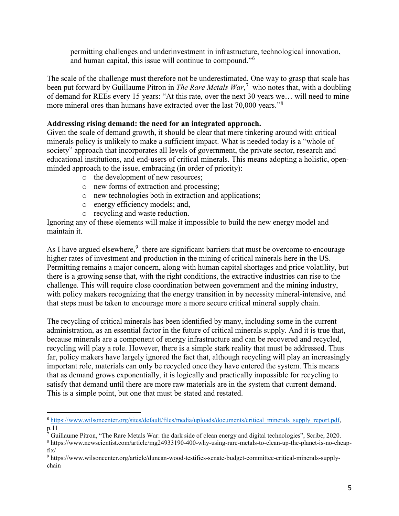permitting challenges and underinvestment in infrastructure, technological innovation, and human capital, this issue will continue to compound."<sup>[6](#page-4-0)</sup>

The scale of the challenge must therefore not be underestimated. One way to grasp that scale has been put forward by Guillaume Pitron in *The Rare Metals War*, [7](#page-4-1) who notes that, with a doubling of demand for REEs every 15 years: "At this rate, over the next 30 years we… will need to mine more mineral ores than humans have extracted over the last 70,000 years."<sup>[8](#page-4-2)</sup>

### **Addressing rising demand: the need for an integrated approach.**

Given the scale of demand growth, it should be clear that mere tinkering around with critical minerals policy is unlikely to make a sufficient impact. What is needed today is a "whole of society" approach that incorporates all levels of government, the private sector, research and educational institutions, and end-users of critical minerals. This means adopting a holistic, openminded approach to the issue, embracing (in order of priority):

- o the development of new resources;
- o new forms of extraction and processing;
- o new technologies both in extraction and applications;
- o energy efficiency models; and,
- o recycling and waste reduction.

 $\overline{a}$ 

Ignoring any of these elements will make it impossible to build the new energy model and maintain it.

As I have argued elsewhere, $9$  there are significant barriers that must be overcome to encourage higher rates of investment and production in the mining of critical minerals here in the US. Permitting remains a major concern, along with human capital shortages and price volatility, but there is a growing sense that, with the right conditions, the extractive industries can rise to the challenge. This will require close coordination between government and the mining industry, with policy makers recognizing that the energy transition in by necessity mineral-intensive, and that steps must be taken to encourage more a more secure critical mineral supply chain.

The recycling of critical minerals has been identified by many, including some in the current administration, as an essential factor in the future of critical minerals supply. And it is true that, because minerals are a component of energy infrastructure and can be recovered and recycled, recycling will play a role. However, there is a simple stark reality that must be addressed. Thus far, policy makers have largely ignored the fact that, although recycling will play an increasingly important role, materials can only be recycled once they have entered the system. This means that as demand grows exponentially, it is logically and practically impossible for recycling to satisfy that demand until there are more raw materials are in the system that current demand. This is a simple point, but one that must be stated and restated.

<span id="page-4-0"></span><sup>6</sup> [https://www.wilsoncenter.org/sites/default/files/media/uploads/documents/critical\\_minerals\\_supply\\_report.pdf,](https://www.wilsoncenter.org/sites/default/files/media/uploads/documents/critical_minerals_supply_report.pdf) p.11

<span id="page-4-2"></span><span id="page-4-1"></span> $\sqrt{7}$  Guillaume Pitron, "The Rare Metals War: the dark side of clean energy and digital technologies", Scribe, 2020. <sup>8</sup> https://www.newscientist.com/article/mg24933190-400-why-using-rare-metals-to-clean-up-the-planet-is-no-cheapfix/

<span id="page-4-3"></span><sup>9</sup> https://www.wilsoncenter.org/article/duncan-wood-testifies-senate-budget-committee-critical-minerals-supplychain